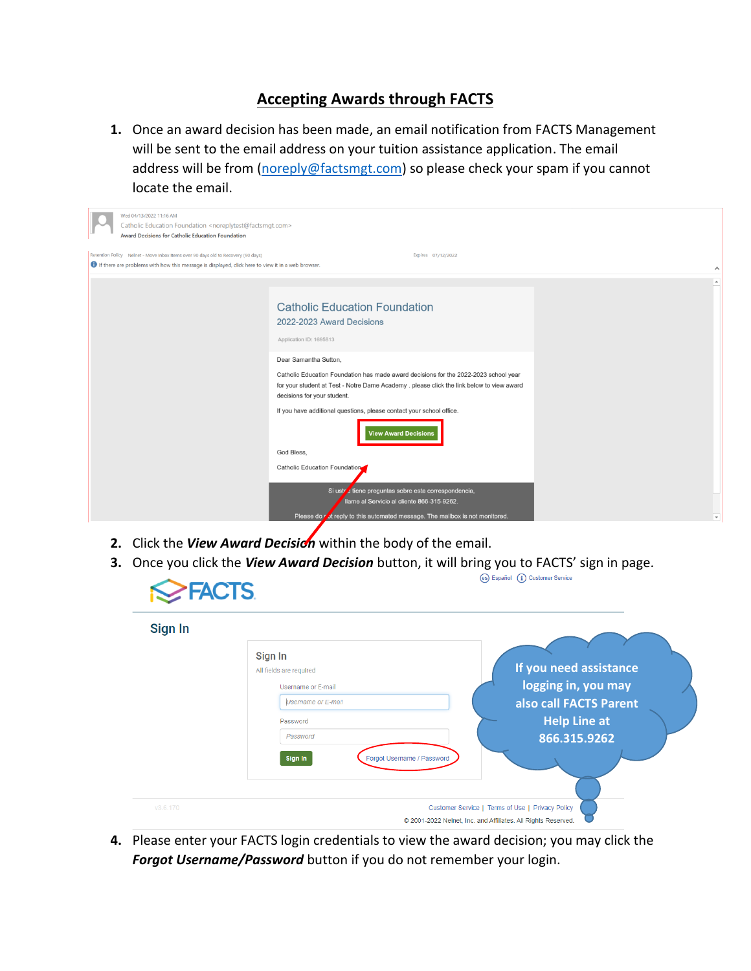## **Accepting Awards through FACTS**

**1.** Once an award decision has been made, an email notification from FACTS Management will be sent to the email address on your tuition assistance application. The email address will be from [\(noreply@factsmgt.com\)](mailto:noreply@factsmgt.com) so please check your spam if you cannot locate the email.

| Wed 04/13/2022 11:16 AM<br>Catholic Education Foundation <noreplytest@factsmgt.com><br/>Award Decisions for Catholic Education Foundation</noreplytest@factsmgt.com>                   |                                                                                                                                                                                                                  |                          |
|----------------------------------------------------------------------------------------------------------------------------------------------------------------------------------------|------------------------------------------------------------------------------------------------------------------------------------------------------------------------------------------------------------------|--------------------------|
| Retention Policy Nelnet - Move Inbox Items over 90 days old to Recovery (90 days)<br>If there are problems with how this message is displayed, click here to view it in a web browser. | Expires 07/12/2022                                                                                                                                                                                               |                          |
|                                                                                                                                                                                        |                                                                                                                                                                                                                  | $\hat{\phantom{a}}$      |
|                                                                                                                                                                                        | <b>Catholic Education Foundation</b><br>2022-2023 Award Decisions<br>Application ID: 1695813                                                                                                                     | $\overline{a}$           |
|                                                                                                                                                                                        | Dear Samantha Sutton,                                                                                                                                                                                            |                          |
|                                                                                                                                                                                        | Catholic Education Foundation has made award decisions for the 2022-2023 school year<br>for your student at Test - Notre Dame Academy . please click the link below to view award<br>decisions for your student. |                          |
|                                                                                                                                                                                        | If you have additional questions, please contact your school office.<br><b>View Award Decisions</b>                                                                                                              |                          |
|                                                                                                                                                                                        | God Bless,                                                                                                                                                                                                       |                          |
|                                                                                                                                                                                        | Catholic Education Foundation                                                                                                                                                                                    |                          |
|                                                                                                                                                                                        | i tiene preguntas sobre esta correspondencia,<br>Si ustr<br>Ilame al Servicio al cliente 866-315-9262.                                                                                                           |                          |
|                                                                                                                                                                                        | Please do rot reply to this automated message. The mailbox is not monitored.                                                                                                                                     | $\overline{\phantom{a}}$ |

- **2.** Click the *View Award Decision* within the body of the email.
- **3.** Once you click the *View Award Decision* button, it will bring you to FACTS' sign in page.

| Sign In  |                                                                                                   |                                                                                                |
|----------|---------------------------------------------------------------------------------------------------|------------------------------------------------------------------------------------------------|
|          | Sign In<br>All fields are required<br>Username or E-mail<br><b>Username or E-mail</b><br>Password | If you need assistance<br>logging in, you may<br>also call FACTS Parent<br><b>Help Line at</b> |
| v3.6.170 | Password<br>Sign In<br>Forgot Username / Password                                                 | 866.315.9262<br>Customer Service   Terms of Use   Privacy Policy                               |

**4.** Please enter your FACTS login credentials to view the award decision; you may click the *Forgot Username/Password* button if you do not remember your login.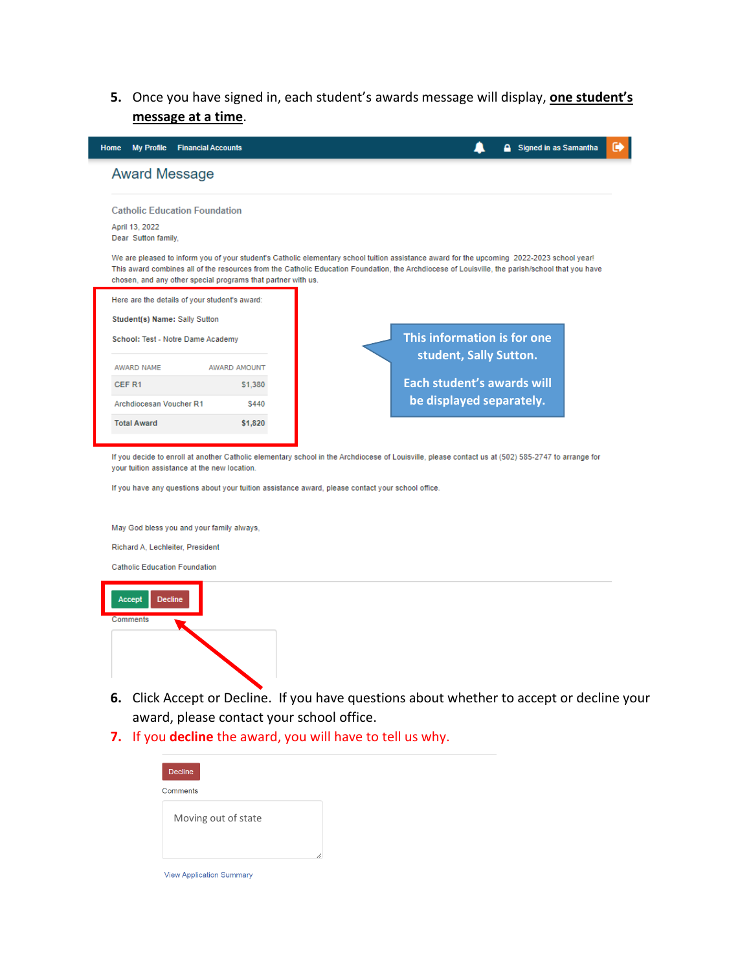**5.** Once you have signed in, each student's awards message will display, **one student's message at a time**.

| <b>My Profile</b><br>Home                                                     | <b>Financial Accounts</b>                                    | Signed in as Samantha                                                                                                                                                                                                                                                                         | ☞ |
|-------------------------------------------------------------------------------|--------------------------------------------------------------|-----------------------------------------------------------------------------------------------------------------------------------------------------------------------------------------------------------------------------------------------------------------------------------------------|---|
| <b>Award Message</b>                                                          |                                                              |                                                                                                                                                                                                                                                                                               |   |
| <b>Catholic Education Foundation</b><br>April 13, 2022<br>Dear Sutton family. |                                                              |                                                                                                                                                                                                                                                                                               |   |
|                                                                               | chosen, and any other special programs that partner with us. | We are pleased to inform you of your student's Catholic elementary school tuition assistance award for the upcoming 2022-2023 school year!<br>This award combines all of the resources from the Catholic Education Foundation, the Archdiocese of Louisville, the parish/school that you have |   |
| Here are the details of your student's award:                                 |                                                              |                                                                                                                                                                                                                                                                                               |   |
| Student(s) Name: Sally Sutton                                                 |                                                              |                                                                                                                                                                                                                                                                                               |   |
| School: Test - Notre Dame Academy                                             |                                                              | This information is for one<br>student, Sally Sutton.                                                                                                                                                                                                                                         |   |
| AWARD NAME                                                                    | <b>AWARD AMOUNT</b>                                          |                                                                                                                                                                                                                                                                                               |   |
| CEF <sub>R1</sub>                                                             | S1.380                                                       | Each student's awards will                                                                                                                                                                                                                                                                    |   |
| Archdiocesan Voucher R1                                                       | \$440                                                        | be displayed separately.                                                                                                                                                                                                                                                                      |   |
| <b>Total Award</b>                                                            | \$1,820                                                      |                                                                                                                                                                                                                                                                                               |   |
|                                                                               |                                                              |                                                                                                                                                                                                                                                                                               |   |

If you decide to enroll at another Catholic elementary school in the Archdiocese of Louisville, please contact us at (502) 585-2747 to arrange for your tuition assistance at the new location.

If you have any questions about your tuition assistance award, please contact your school office.

May God bless you and your family always,

Richard A, Lechleiter, President

**Catholic Education Foundation** 



- **6.** Click Accept or Decline. If you have questions about whether to accept or decline your award, please contact your school office.
- **7.** If you **decline** the award, you will have to tell us why.

| <b>Decline</b>                  |  |
|---------------------------------|--|
| Comments                        |  |
| Moving out of state             |  |
| <b>View Application Summary</b> |  |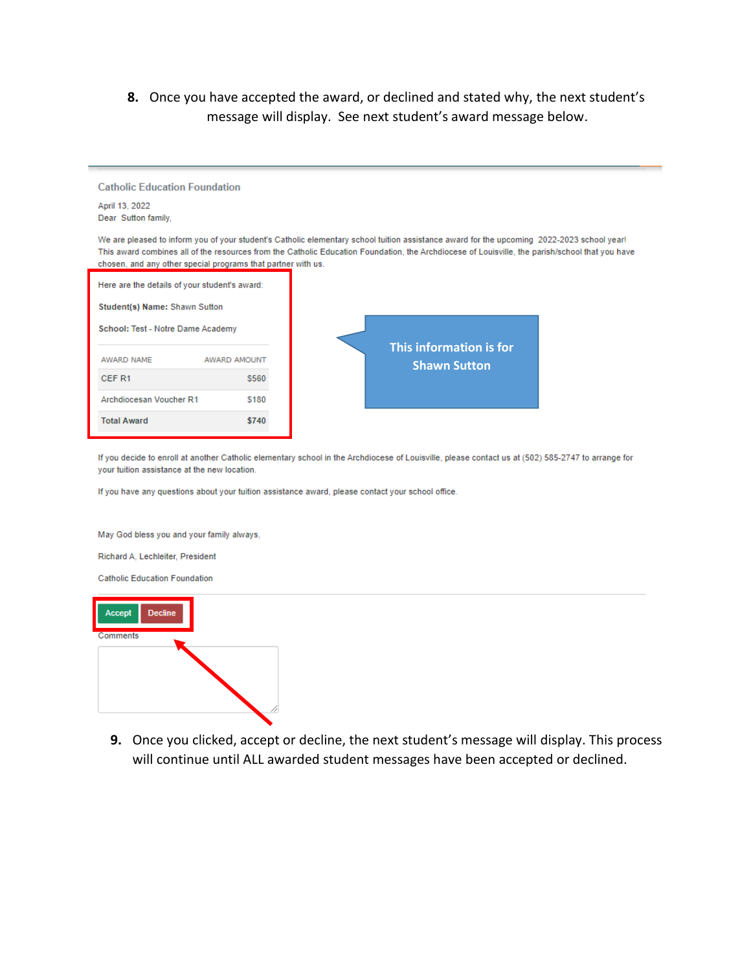**8.** Once you have accepted the award, or declined and stated why, the next student's message will display. See next student's award message below.

| <b>Catholic Education Foundation</b><br>April 13, 2022<br>Dear Sutton family, |              |                                                                                                                                                                                                                                                                                               |  |
|-------------------------------------------------------------------------------|--------------|-----------------------------------------------------------------------------------------------------------------------------------------------------------------------------------------------------------------------------------------------------------------------------------------------|--|
| chosen, and any other special programs that partner with us.                  |              | We are pleased to inform you of your student's Catholic elementary school tuition assistance award for the upcoming 2022-2023 school year!<br>This award combines all of the resources from the Catholic Education Foundation, the Archdiocese of Louisville, the parish/school that you have |  |
| Here are the details of your student's award:                                 |              |                                                                                                                                                                                                                                                                                               |  |
| Student(s) Name: Shawn Sutton                                                 |              |                                                                                                                                                                                                                                                                                               |  |
| School: Test - Notre Dame Academy                                             |              |                                                                                                                                                                                                                                                                                               |  |
| AWARD NAME                                                                    | AWARD AMOUNT | <b>This information is for</b><br><b>Shawn Sutton</b>                                                                                                                                                                                                                                         |  |
| CEF R1                                                                        | \$560        |                                                                                                                                                                                                                                                                                               |  |
| Archdiocesan Voucher R1                                                       | \$180        |                                                                                                                                                                                                                                                                                               |  |
| <b>Total Award</b>                                                            | \$740        |                                                                                                                                                                                                                                                                                               |  |

If you decide to enroll at another Catholic elementary school in the Archdiocese of Louisville, please contact us at (502) 585-2747 to arrange for your tuition assistance at the new location.

If you have any questions about your tuition assistance award, please contact your school office.

May God bless you and your family always,

Richard A, Lechleiter, President

**Catholic Education Foundation** 



**9.** Once you clicked, accept or decline, the next student's message will display. This process will continue until ALL awarded student messages have been accepted or declined.